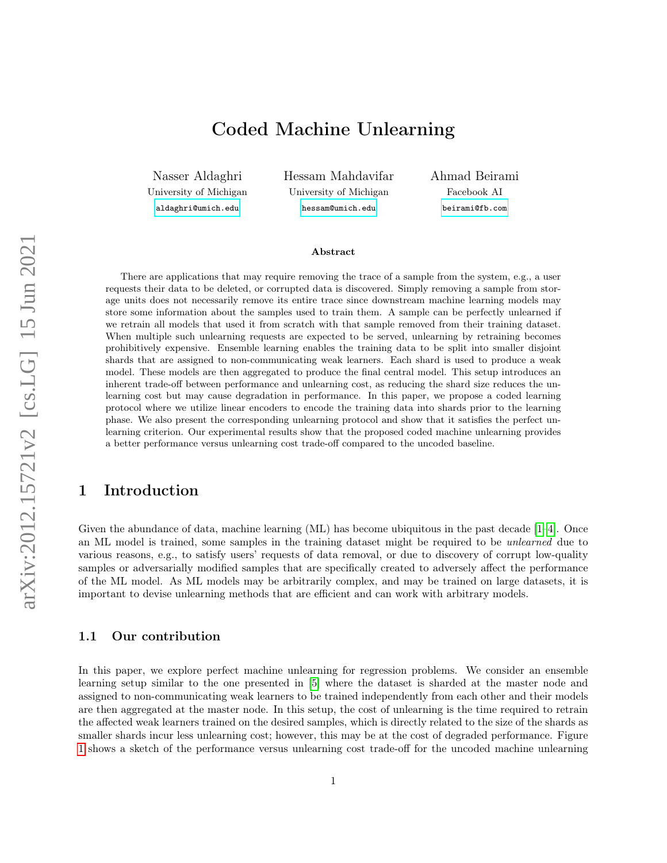# Coded Machine Unlearning

Nasser Aldaghri University of Michigan [aldaghri@umich.edu](mailto:aldaghri@umich.edu)

Hessam Mahdavifar University of Michigan [hessam@umich.edu](mailto:hessam@umich.edu)

Ahmad Beirami Facebook AI [beirami@fb.com](mailto:beirami@fb.com)

#### Abstract

There are applications that may require removing the trace of a sample from the system, e.g., a user requests their data to be deleted, or corrupted data is discovered. Simply removing a sample from storage units does not necessarily remove its entire trace since downstream machine learning models may store some information about the samples used to train them. A sample can be perfectly unlearned if we retrain all models that used it from scratch with that sample removed from their training dataset. When multiple such unlearning requests are expected to be served, unlearning by retraining becomes prohibitively expensive. Ensemble learning enables the training data to be split into smaller disjoint shards that are assigned to non-communicating weak learners. Each shard is used to produce a weak model. These models are then aggregated to produce the final central model. This setup introduces an inherent trade-off between performance and unlearning cost, as reducing the shard size reduces the unlearning cost but may cause degradation in performance. In this paper, we propose a coded learning protocol where we utilize linear encoders to encode the training data into shards prior to the learning phase. We also present the corresponding unlearning protocol and show that it satisfies the perfect unlearning criterion. Our experimental results show that the proposed coded machine unlearning provides a better performance versus unlearning cost trade-off compared to the uncoded baseline.

# 1 Introduction

Given the abundance of data, machine learning (ML) has become ubiquitous in the past decade [\[1–](#page-14-0)[4\]](#page-14-1). Once an ML model is trained, some samples in the training dataset might be required to be unlearned due to various reasons, e.g., to satisfy users' requests of data removal, or due to discovery of corrupt low-quality samples or adversarially modified samples that are specifically created to adversely affect the performance of the ML model. As ML models may be arbitrarily complex, and may be trained on large datasets, it is important to devise unlearning methods that are efficient and can work with arbitrary models.

### 1.1 Our contribution

In this paper, we explore perfect machine unlearning for regression problems. We consider an ensemble learning setup similar to the one presented in [\[5\]](#page-14-2) where the dataset is sharded at the master node and assigned to non-communicating weak learners to be trained independently from each other and their models are then aggregated at the master node. In this setup, the cost of unlearning is the time required to retrain the affected weak learners trained on the desired samples, which is directly related to the size of the shards as smaller shards incur less unlearning cost; however, this may be at the cost of degraded performance. Figure [1](#page-1-0) shows a sketch of the performance versus unlearning cost trade-off for the uncoded machine unlearning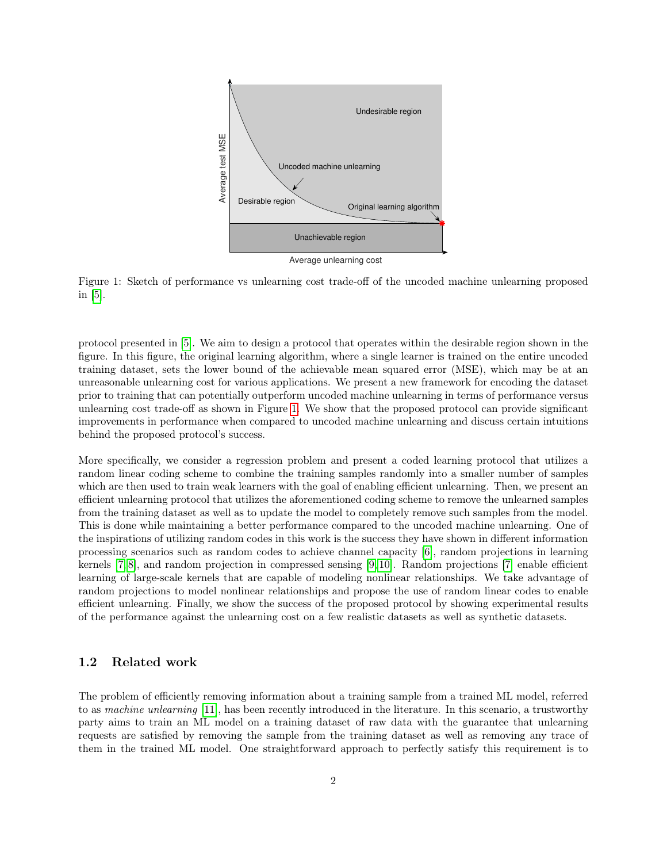<span id="page-1-0"></span>

Figure 1: Sketch of performance vs unlearning cost trade-off of the uncoded machine unlearning proposed in [\[5\]](#page-14-2).

protocol presented in [\[5\]](#page-14-2). We aim to design a protocol that operates within the desirable region shown in the figure. In this figure, the original learning algorithm, where a single learner is trained on the entire uncoded training dataset, sets the lower bound of the achievable mean squared error (MSE), which may be at an unreasonable unlearning cost for various applications. We present a new framework for encoding the dataset prior to training that can potentially outperform uncoded machine unlearning in terms of performance versus unlearning cost trade-off as shown in Figure [1.](#page-1-0) We show that the proposed protocol can provide significant improvements in performance when compared to uncoded machine unlearning and discuss certain intuitions behind the proposed protocol's success.

More specifically, we consider a regression problem and present a coded learning protocol that utilizes a random linear coding scheme to combine the training samples randomly into a smaller number of samples which are then used to train weak learners with the goal of enabling efficient unlearning. Then, we present an efficient unlearning protocol that utilizes the aforementioned coding scheme to remove the unlearned samples from the training dataset as well as to update the model to completely remove such samples from the model. This is done while maintaining a better performance compared to the uncoded machine unlearning. One of the inspirations of utilizing random codes in this work is the success they have shown in different information processing scenarios such as random codes to achieve channel capacity [\[6\]](#page-14-3), random projections in learning kernels [\[7,](#page-14-4) [8\]](#page-14-5), and random projection in compressed sensing [\[9,](#page-14-6) [10\]](#page-14-7). Random projections [\[7\]](#page-14-4) enable efficient learning of large-scale kernels that are capable of modeling nonlinear relationships. We take advantage of random projections to model nonlinear relationships and propose the use of random linear codes to enable efficient unlearning. Finally, we show the success of the proposed protocol by showing experimental results of the performance against the unlearning cost on a few realistic datasets as well as synthetic datasets.

### 1.2 Related work

The problem of efficiently removing information about a training sample from a trained ML model, referred to as machine unlearning [\[11\]](#page-14-8), has been recently introduced in the literature. In this scenario, a trustworthy party aims to train an ML model on a training dataset of raw data with the guarantee that unlearning requests are satisfied by removing the sample from the training dataset as well as removing any trace of them in the trained ML model. One straightforward approach to perfectly satisfy this requirement is to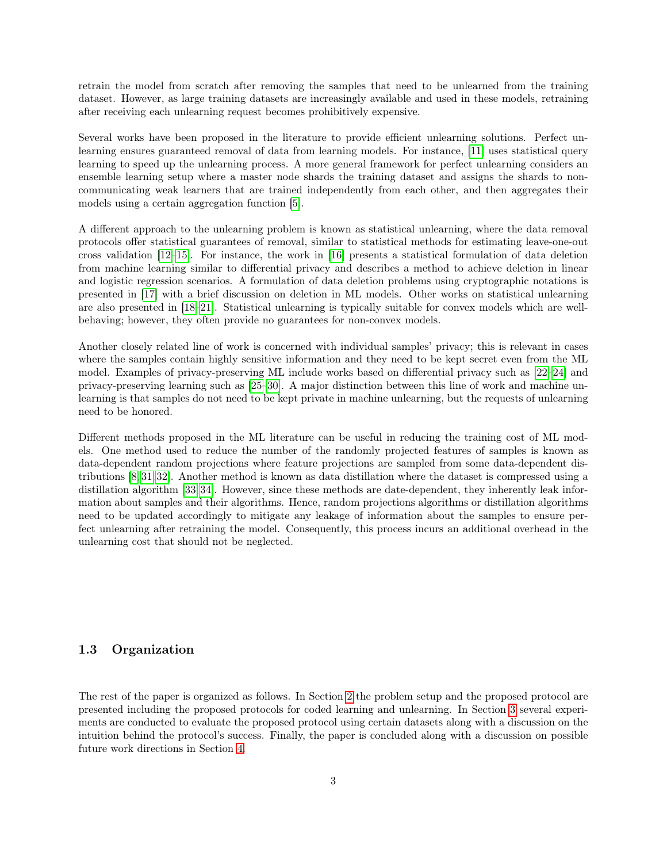retrain the model from scratch after removing the samples that need to be unlearned from the training dataset. However, as large training datasets are increasingly available and used in these models, retraining after receiving each unlearning request becomes prohibitively expensive.

Several works have been proposed in the literature to provide efficient unlearning solutions. Perfect unlearning ensures guaranteed removal of data from learning models. For instance, [\[11\]](#page-14-8) uses statistical query learning to speed up the unlearning process. A more general framework for perfect unlearning considers an ensemble learning setup where a master node shards the training dataset and assigns the shards to noncommunicating weak learners that are trained independently from each other, and then aggregates their models using a certain aggregation function [\[5\]](#page-14-2).

A different approach to the unlearning problem is known as statistical unlearning, where the data removal protocols offer statistical guarantees of removal, similar to statistical methods for estimating leave-one-out cross validation [\[12–](#page-15-0)[15\]](#page-15-1). For instance, the work in [\[16\]](#page-15-2) presents a statistical formulation of data deletion from machine learning similar to differential privacy and describes a method to achieve deletion in linear and logistic regression scenarios. A formulation of data deletion problems using cryptographic notations is presented in [\[17\]](#page-15-3) with a brief discussion on deletion in ML models. Other works on statistical unlearning are also presented in [\[18–](#page-15-4)[21\]](#page-15-5). Statistical unlearning is typically suitable for convex models which are wellbehaving; however, they often provide no guarantees for non-convex models.

Another closely related line of work is concerned with individual samples' privacy; this is relevant in cases where the samples contain highly sensitive information and they need to be kept secret even from the ML model. Examples of privacy-preserving ML include works based on differential privacy such as [\[22–](#page-15-6)[24\]](#page-15-7) and privacy-preserving learning such as [\[25–](#page-15-8)[30\]](#page-16-0). A major distinction between this line of work and machine unlearning is that samples do not need to be kept private in machine unlearning, but the requests of unlearning need to be honored.

Different methods proposed in the ML literature can be useful in reducing the training cost of ML models. One method used to reduce the number of the randomly projected features of samples is known as data-dependent random projections where feature projections are sampled from some data-dependent distributions [\[8,](#page-14-5) [31,](#page-16-1) [32\]](#page-16-2). Another method is known as data distillation where the dataset is compressed using a distillation algorithm [\[33,](#page-16-3) [34\]](#page-16-4). However, since these methods are date-dependent, they inherently leak information about samples and their algorithms. Hence, random projections algorithms or distillation algorithms need to be updated accordingly to mitigate any leakage of information about the samples to ensure perfect unlearning after retraining the model. Consequently, this process incurs an additional overhead in the unlearning cost that should not be neglected.

### 1.3 Organization

The rest of the paper is organized as follows. In Section [2](#page-3-0) the problem setup and the proposed protocol are presented including the proposed protocols for coded learning and unlearning. In Section [3](#page-9-0) several experiments are conducted to evaluate the proposed protocol using certain datasets along with a discussion on the intuition behind the protocol's success. Finally, the paper is concluded along with a discussion on possible future work directions in Section [4.](#page-13-0)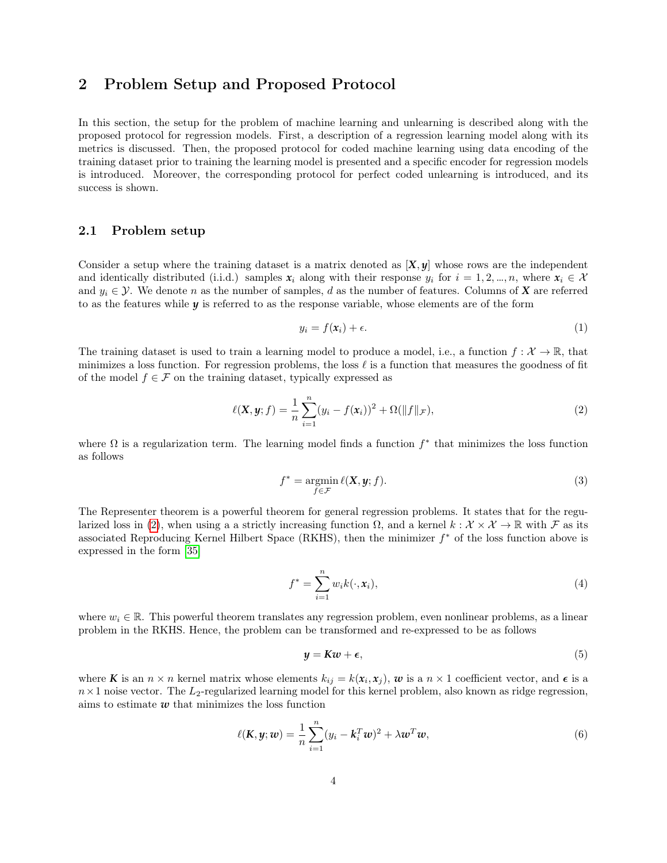# <span id="page-3-0"></span>2 Problem Setup and Proposed Protocol

In this section, the setup for the problem of machine learning and unlearning is described along with the proposed protocol for regression models. First, a description of a regression learning model along with its metrics is discussed. Then, the proposed protocol for coded machine learning using data encoding of the training dataset prior to training the learning model is presented and a specific encoder for regression models is introduced. Moreover, the corresponding protocol for perfect coded unlearning is introduced, and its success is shown.

### 2.1 Problem setup

Consider a setup where the training dataset is a matrix denoted as [*X*, *y*] whose rows are the independent and identically distributed (i.i.d.) samples  $x_i$  along with their response  $y_i$  for  $i = 1, 2, ..., n$ , where  $x_i \in \mathcal{X}$ and  $y_i \in \mathcal{Y}$ . We denote n as the number of samples, d as the number of features. Columns of **X** are referred to as the features while *y* is referred to as the response variable, whose elements are of the form

<span id="page-3-1"></span>
$$
y_i = f(\mathbf{x}_i) + \epsilon. \tag{1}
$$

The training dataset is used to train a learning model to produce a model, i.e., a function  $f: \mathcal{X} \to \mathbb{R}$ , that minimizes a loss function. For regression problems, the loss  $\ell$  is a function that measures the goodness of fit of the model  $f \in \mathcal{F}$  on the training dataset, typically expressed as

$$
\ell(\mathbf{X}, \mathbf{y}; f) = \frac{1}{n} \sum_{i=1}^{n} (y_i - f(\mathbf{x}_i))^2 + \Omega(\|f\|_{\mathcal{F}}),
$$
\n(2)

where  $\Omega$  is a regularization term. The learning model finds a function  $f^*$  that minimizes the loss function as follows

$$
f^* = \operatorname*{argmin}_{f \in \mathcal{F}} \ell(\mathbf{X}, \mathbf{y}; f). \tag{3}
$$

The Representer theorem is a powerful theorem for general regression problems. It states that for the regu-larized loss in [\(2\)](#page-3-1), when using a a strictly increasing function  $\Omega$ , and a kernel  $k : \mathcal{X} \times \mathcal{X} \to \mathbb{R}$  with F as its associated Reproducing Kernel Hilbert Space (RKHS), then the minimizer  $f^*$  of the loss function above is expressed in the form [\[35\]](#page-16-5)

$$
f^* = \sum_{i=1}^n w_i k(\cdot, \mathbf{x}_i), \tag{4}
$$

where  $w_i \in \mathbb{R}$ . This powerful theorem translates any regression problem, even nonlinear problems, as a linear problem in the RKHS. Hence, the problem can be transformed and re-expressed to be as follows

$$
y = Kw + \epsilon,\tag{5}
$$

where **K** is an  $n \times n$  kernel matrix whose elements  $k_{ij} = k(x_i, x_j)$ , **w** is a  $n \times 1$  coefficient vector, and  $\epsilon$  is a  $n \times 1$  noise vector. The  $L_2$ -regularized learning model for this kernel problem, also known as ridge regression, aims to estimate  $w$  that minimizes the loss function

$$
\ell(\mathbf{K}, \mathbf{y}; \mathbf{w}) = \frac{1}{n} \sum_{i=1}^{n} (y_i - \mathbf{k}_i^T \mathbf{w})^2 + \lambda \mathbf{w}^T \mathbf{w}, \tag{6}
$$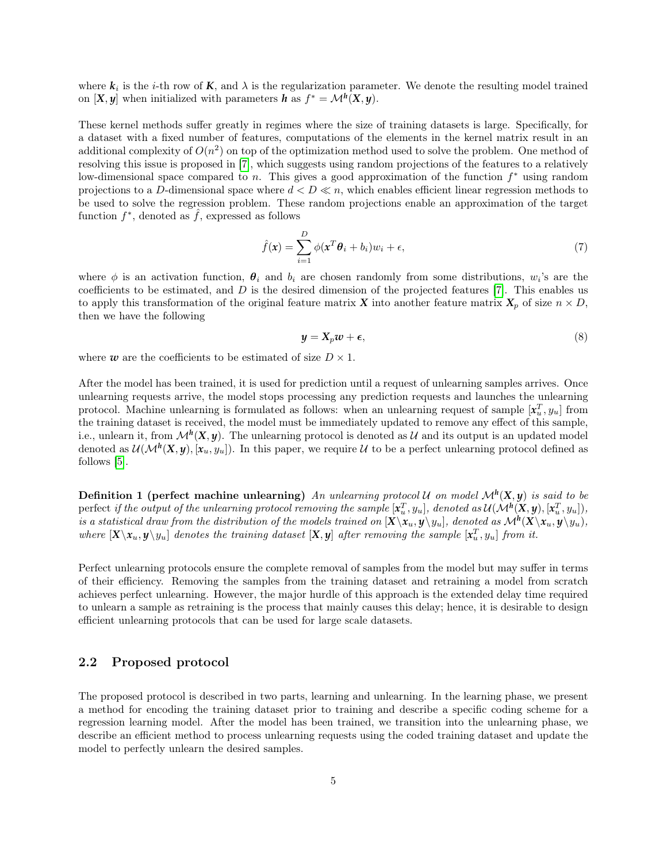where  $k_i$  is the *i*-th row of  $K$ , and  $\lambda$  is the regularization parameter. We denote the resulting model trained on  $[X, y]$  when initialized with parameters *h* as  $f^* = \mathcal{M}^h(X, y)$ .

These kernel methods suffer greatly in regimes where the size of training datasets is large. Specifically, for a dataset with a fixed number of features, computations of the elements in the kernel matrix result in an additional complexity of  $O(n^2)$  on top of the optimization method used to solve the problem. One method of resolving this issue is proposed in [\[7\]](#page-14-4), which suggests using random projections of the features to a relatively low-dimensional space compared to n. This gives a good approximation of the function  $f^*$  using random projections to a D-dimensional space where  $d < D \ll n$ , which enables efficient linear regression methods to be used to solve the regression problem. These random projections enable an approximation of the target function  $f^*$ , denoted as  $\hat{f}$ , expressed as follows

$$
\hat{f}(\mathbf{x}) = \sum_{i=1}^{D} \phi(\mathbf{x}^T \boldsymbol{\theta}_i + b_i) w_i + \epsilon,
$$
\n(7)

where  $\phi$  is an activation function,  $\theta_i$  and  $b_i$  are chosen randomly from some distributions,  $w_i$ 's are the coefficients to be estimated, and  $D$  is the desired dimension of the projected features [\[7\]](#page-14-4). This enables us to apply this transformation of the original feature matrix *X* into another feature matrix  $X_p$  of size  $n \times D$ , then we have the following

<span id="page-4-2"></span><span id="page-4-1"></span>
$$
y = X_p w + \epsilon,\tag{8}
$$

where  $w$  are the coefficients to be estimated of size  $D \times 1$ .

After the model has been trained, it is used for prediction until a request of unlearning samples arrives. Once unlearning requests arrive, the model stops processing any prediction requests and launches the unlearning protocol. Machine unlearning is formulated as follows: when an unlearning request of sample  $[x_u^T, y_u]$  from the training dataset is received, the model must be immediately updated to remove any effect of this sample, i.e., unlearn it, from  $\mathcal{M}^h(X, y)$ . The unlearning protocol is denoted as U and its output is an updated model denoted as  $\mathcal{U}(\mathcal{M}^h(\mathbf{X},y),[\mathbf{x}_u,y_u])$ . In this paper, we require U to be a perfect unlearning protocol defined as follows [\[5\]](#page-14-2).

<span id="page-4-0"></span>**Definition 1** (perfect machine unlearning) An unlearning protocol U on model  $\mathcal{M}^h(X, y)$  is said to be  $\Delta$  perfect *if the output of the unlearning protocol removing the sample*  $[x_u^T,y_u]$ , denoted as  $\mathcal{U}(\mathcal{M}^h(X,y),[x_u^T,y_u])$ , is a statistical draw from the distribution of the models trained on  $[X\setminus x_u, y\setminus y_u]$ , denoted as  $\mathcal{M}^h(X\setminus x_u, y\setminus y_u)$ , where  $[X \setminus x_u, y \setminus y_u]$  denotes the training dataset  $[X, y]$  after removing the sample  $[x_u^T, y_u]$  from it.

Perfect unlearning protocols ensure the complete removal of samples from the model but may suffer in terms of their efficiency. Removing the samples from the training dataset and retraining a model from scratch achieves perfect unlearning. However, the major hurdle of this approach is the extended delay time required to unlearn a sample as retraining is the process that mainly causes this delay; hence, it is desirable to design efficient unlearning protocols that can be used for large scale datasets.

### 2.2 Proposed protocol

The proposed protocol is described in two parts, learning and unlearning. In the learning phase, we present a method for encoding the training dataset prior to training and describe a specific coding scheme for a regression learning model. After the model has been trained, we transition into the unlearning phase, we describe an efficient method to process unlearning requests using the coded training dataset and update the model to perfectly unlearn the desired samples.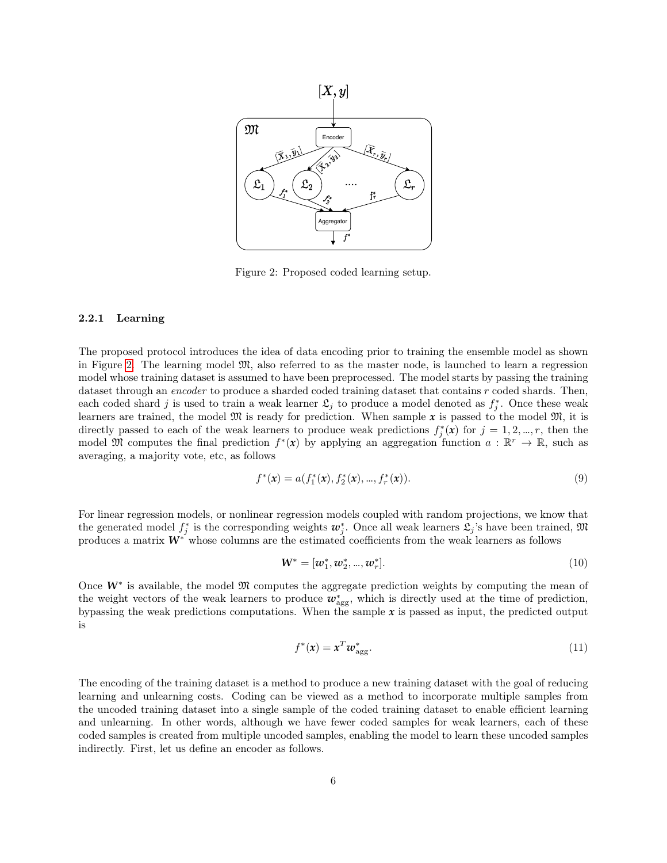<span id="page-5-0"></span>

Figure 2: Proposed coded learning setup.

#### 2.2.1 Learning

The proposed protocol introduces the idea of data encoding prior to training the ensemble model as shown in Figure [2.](#page-5-0) The learning model  $\mathfrak{M}$ , also referred to as the master node, is launched to learn a regression model whose training dataset is assumed to have been preprocessed. The model starts by passing the training dataset through an *encoder* to produce a sharded coded training dataset that contains r coded shards. Then, each coded shard j is used to train a weak learner  $\mathfrak{L}_j$  to produce a model denoted as  $f_j^*$ . Once these weak learners are trained, the model  $\mathfrak{M}$  is ready for prediction. When sample x is passed to the model  $\mathfrak{M}$ , it is directly passed to each of the weak learners to produce weak predictions  $f_j^*(x)$  for  $j = 1, 2, ..., r$ , then the model M computes the final prediction  $f^*(x)$  by applying an aggregation function  $a : \mathbb{R}^r \to \mathbb{R}$ , such as averaging, a majority vote, etc, as follows

$$
f^*(x) = a(f_1^*(x), f_2^*(x), \dots, f_r^*(x)).
$$
\n(9)

For linear regression models, or nonlinear regression models coupled with random projections, we know that the generated model  $f_j^*$  is the corresponding weights  $w_j^*$ . Once all weak learners  $\mathfrak{L}_j$ 's have been trained,  $\mathfrak{M}$ produces a matrix  $W^*$  whose columns are the estimated coefficients from the weak learners as follows

$$
\mathbf{W}^* = [\mathbf{w}_1^*, \mathbf{w}_2^*, ..., \mathbf{w}_r^*]. \tag{10}
$$

Once W<sup>∗</sup> is available, the model  $\mathfrak M$  computes the aggregate prediction weights by computing the mean of the weight vectors of the weak learners to produce  $w_{\text{agg}}^*$ , which is directly used at the time of prediction, bypassing the weak predictions computations. When the sample *x* is passed as input, the predicted output is

$$
f^*(x) = x^T w_{\text{agg}}^*.
$$
\n<sup>(11)</sup>

The encoding of the training dataset is a method to produce a new training dataset with the goal of reducing learning and unlearning costs. Coding can be viewed as a method to incorporate multiple samples from the uncoded training dataset into a single sample of the coded training dataset to enable efficient learning and unlearning. In other words, although we have fewer coded samples for weak learners, each of these coded samples is created from multiple uncoded samples, enabling the model to learn these uncoded samples indirectly. First, let us define an encoder as follows.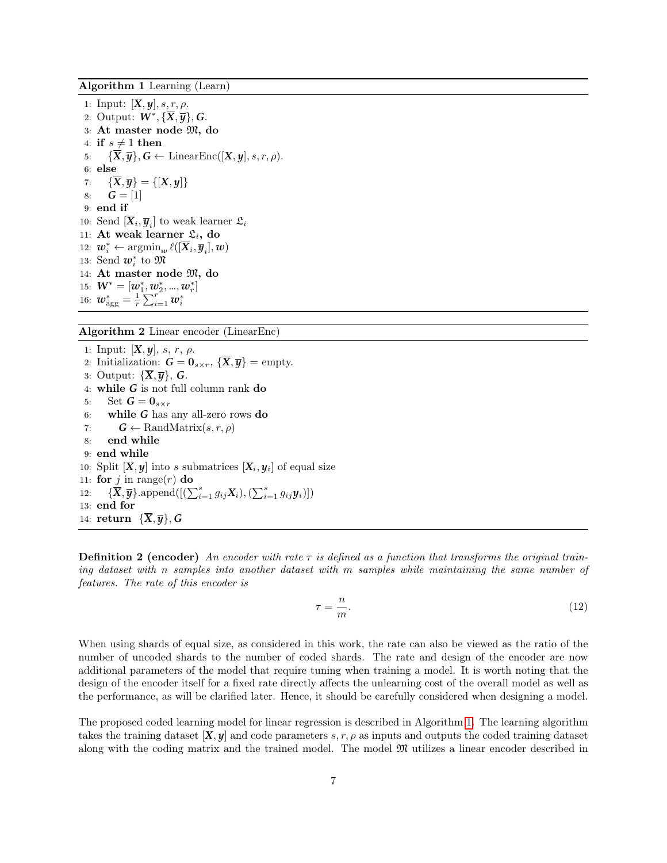<span id="page-6-0"></span>Algorithm 1 Learning (Learn)

1: Input:  $[X, \mathbf{y}], s, r, \rho$ . 2: Output: *W*<sup>∗</sup> , {*X*, *y*}, *G*. 3: At master node M, do 4: if  $s \neq 1$  then 5:  ${\overline{X}, \overline{y}}$ ,  $G \leftarrow$  LinearEnc([*X*, *y*], *s*, *r*,  $\rho$ ). 6: else 7:  $\{\overline{X}, \overline{y}\} = \{[X, y]\}$ 8:  $G = [1]$ 9: end if 10: Send  $[\overline{X}_i, \overline{y}_i]$  to weak learner  $\mathfrak{L}_i$ 11: At weak learner  $\mathfrak{L}_i$ , do 12:  $\boldsymbol{w}_i^* \leftarrow \operatorname{argmin}_{\boldsymbol{w}} \ell([\overline{\boldsymbol{X}}_i, \overline{\boldsymbol{y}}_i], \boldsymbol{w})$ 13: Send  $w_i^*$  to  $\mathfrak{M}$ 14: At master node M, do 15:  $\mathbf{W}^* = [\mathbf{w}_1^*, \mathbf{w}_2^*, ..., \mathbf{w}_r^*]$ 16:  $w_{\text{agg}}^* = \frac{1}{r} \sum_{i=1}^r w_i^*$ 

<span id="page-6-1"></span>Algorithm 2 Linear encoder (LinearEnc)

1: Input:  $[X, y]$ , s, r,  $\rho$ . 2: Initialization:  $G = 0_{s \times r}$ ,  $\{\overline{X}, \overline{y}\}$  = empty. 3: Output:  $\{X,\overline{y}\}, G$ . 4: while *G* is not full column rank do 5: Set  $G = 0_{s \times r}$ 6: while *G* has any all-zero rows do 7:  $G \leftarrow \text{RandMatrix}(s, r, \rho)$ 8: end while 9: end while 10: Split  $[X, y]$  into s submatrices  $[X_i, y_i]$  of equal size 11: for j in range(r) do 12:  $\{\overline{\mathbf{X}}, \overline{\mathbf{y}}\}$ .append $([(\sum_{i=1}^s g_{ij}\mathbf{X}_i),(\sum_{i=1}^s g_{ij}\mathbf{y}_i)])$ 13: end for 14: return  $\{X,\overline{y}\}, G$ 

**Definition 2 (encoder)** An encoder with rate  $\tau$  is defined as a function that transforms the original training dataset with n samples into another dataset with m samples while maintaining the same number of features. The rate of this encoder is

$$
\tau = \frac{n}{m}.\tag{12}
$$

When using shards of equal size, as considered in this work, the rate can also be viewed as the ratio of the number of uncoded shards to the number of coded shards. The rate and design of the encoder are now additional parameters of the model that require tuning when training a model. It is worth noting that the design of the encoder itself for a fixed rate directly affects the unlearning cost of the overall model as well as the performance, as will be clarified later. Hence, it should be carefully considered when designing a model.

The proposed coded learning model for linear regression is described in Algorithm [1.](#page-6-0) The learning algorithm takes the training dataset  $[X, y]$  and code parameters s, r,  $\rho$  as inputs and outputs the coded training dataset along with the coding matrix and the trained model. The model M utilizes a linear encoder described in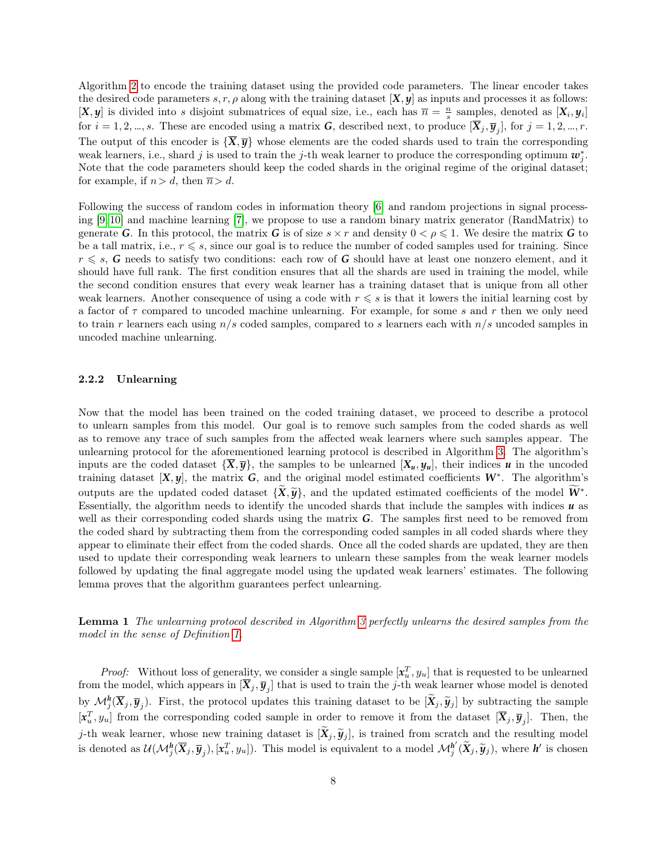Algorithm [2](#page-6-1) to encode the training dataset using the provided code parameters. The linear encoder takes the desired code parameters s, r,  $\rho$  along with the training dataset  $[X, y]$  as inputs and processes it as follows:  $[X, y]$  is divided into s disjoint submatrices of equal size, i.e., each has  $\bar{n} = \frac{n}{s}$  samples, denoted as  $[X_i, y_i]$ for  $i = 1, 2, ..., s$ . These are encoded using a matrix *G*, described next, to produce  $[\overline{X}_j, \overline{y}_j]$ , for  $j = 1, 2, ..., r$ . The output of this encoder is  $\{\overline{X}, \overline{y}\}$  whose elements are the coded shards used to train the corresponding weak learners, i.e., shard j is used to train the j-th weak learner to produce the corresponding optimum  $w_j^*$ . Note that the code parameters should keep the coded shards in the original regime of the original dataset; for example, if  $n>d$ , then  $\overline{n}>d$ .

Following the success of random codes in information theory [\[6\]](#page-14-3) and random projections in signal processing [\[9,](#page-14-6) [10\]](#page-14-7) and machine learning [\[7\]](#page-14-4), we propose to use a random binary matrix generator (RandMatrix) to generate *G*. In this protocol, the matrix *G* is of size  $s \times r$  and density  $0 < \rho \leq 1$ . We desire the matrix *G* to be a tall matrix, i.e.,  $r \le s$ , since our goal is to reduce the number of coded samples used for training. Since  $r \leq s$ , *G* needs to satisfy two conditions: each row of *G* should have at least one nonzero element, and it should have full rank. The first condition ensures that all the shards are used in training the model, while the second condition ensures that every weak learner has a training dataset that is unique from all other weak learners. Another consequence of using a code with  $r \leq s$  is that it lowers the initial learning cost by a factor of  $\tau$  compared to uncoded machine unlearning. For example, for some s and r then we only need to train r learners each using  $n/s$  coded samples, compared to s learners each with  $n/s$  uncoded samples in uncoded machine unlearning.

#### 2.2.2 Unlearning

Now that the model has been trained on the coded training dataset, we proceed to describe a protocol to unlearn samples from this model. Our goal is to remove such samples from the coded shards as well as to remove any trace of such samples from the affected weak learners where such samples appear. The unlearning protocol for the aforementioned learning protocol is described in Algorithm [3.](#page-8-0) The algorithm's inputs are the coded dataset  ${\overline{X}, \overline{y}}$ , the samples to be unlearned  $[X_u, y_u]$ , their indices *u* in the uncoded training dataset [*X*, *y*], the matrix *G*, and the original model estimated coefficients *W*<sup>∗</sup> . The algorithm's outputs are the updated coded dataset  ${\{\mathbf{\tilde{X}}, \tilde{y}\}}$ , and the updated estimated coefficients of the model  $W^*$ . Essentially, the algorithm needs to identify the uncoded shards that include the samples with indices *u* as well as their corresponding coded shards using the matrix *G*. The samples first need to be removed from the coded shard by subtracting them from the corresponding coded samples in all coded shards where they appear to eliminate their effect from the coded shards. Once all the coded shards are updated, they are then used to update their corresponding weak learners to unlearn these samples from the weak learner models followed by updating the final aggregate model using the updated weak learners' estimates. The following lemma proves that the algorithm guarantees perfect unlearning.

Lemma 1 The unlearning protocol described in Algorithm [3](#page-8-0) perfectly unlearns the desired samples from the model in the sense of Definition [1.](#page-4-0)

*Proof:* Without loss of generality, we consider a single sample  $[x_u^T, y_u]$  that is requested to be unlearned from the model, which appears in  $[X_j, \overline{y}_j]$  that is used to train the j-th weak learner whose model is denoted by  $\mathcal{M}_{j}^{h}(\overline{X}_{j}, \overline{y}_{j})$ . First, the protocol updates this training dataset to be  $[\overline{X}_{j}, \widetilde{y}_{j}]$  by subtracting the sample  $[x_u^T, y_u]$  from the corresponding coded sample in order to remove it from the dataset  $[\overline{X}_j, \overline{y}_j]$ . Then, the j-th weak learner, whose new training dataset is  $[\tilde{\mathbf{X}}_j, \tilde{\mathbf{y}}_j]$ , is trained from scratch and the resulting model is denoted as  $\mathcal{U}(\mathcal{M}_{j}^{h}(\overline{X}_{j}, \overline{y}_{j}), [\mathbf{x}_{u}^{T}, y_{u}])$ . This model is equivalent to a model  $\mathcal{M}_{j}^{h'}(\widetilde{X}_{j}, \widetilde{y}_{j})$ , where  $h'$  is chosen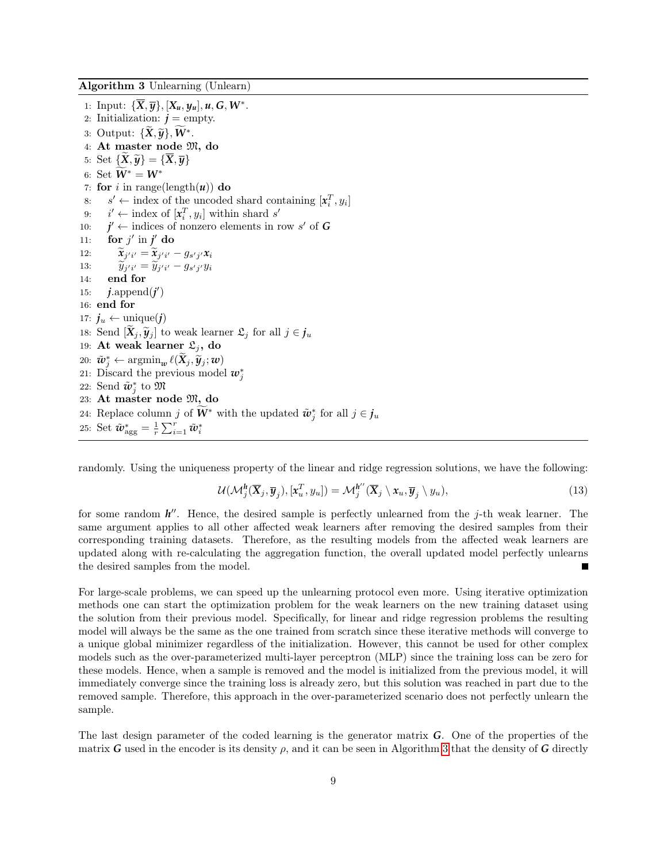<span id="page-8-0"></span>Algorithm 3 Unlearning (Unlearn)

1: Input:  ${\{\overline{X}, \overline{y}\}, [X_u, y_u], u, G, W^*}.$ 2: Initialization:  $j = \text{empty.}$ 3: Output:  $\{\widetilde{\mathbf{X}}, \widetilde{\mathbf{y}}\}, \widetilde{\mathbf{W}}^*$ . 4: At master node M, do 5: Set  $\{X,\widetilde{\boldsymbol{\mathcal{y}}}\} = \{\overline{X},\overline{\boldsymbol{\mathcal{y}}}\}\$ 6: Set  $\widetilde{W}^* = W^*$ 7: for i in range(length( $u$ )) do 8:  $s' \leftarrow \text{index of the uncoded shared containing } [\mathbf{x}_i^T, y_i]$ 9:  $i' \leftarrow \text{index of } [\mathbf{x}_i^T, y_i] \text{ within shared } s'$ 10: *j*  $\mathcal{O}' \leftarrow$  indices of nonzero elements in row s' of G 11: for  $j'$  in  $j'$  do 12:  $\widetilde{x}_{j'i'} = \widetilde{x}_{j'i'} - g_{s'j'}x_i$ 13:  $\widetilde{y}_{j'i'} = \widetilde{y}_{j'i'} - g_{s'j'}y_i$ 14: end for 15:  $j$ .append $(j')$ 16: end for 17:  $j_u \leftarrow \text{unique}(j)$ 18: Send  $[\widetilde{\mathbf{X}}_j, \widetilde{\mathbf{y}}_j]$  to weak learner  $\mathfrak{L}_j$  for all  $j \in \mathfrak{j}_u$ 19: At weak learner  $\mathfrak{L}_i$ , do  $20: \tilde{\boldsymbol{w}}_j^* \leftarrow \operatorname{argmin}_{\boldsymbol{w}} \ell(\widetilde{\boldsymbol{X}}_j, \widetilde{\boldsymbol{y}}_j; \boldsymbol{w})$ 21: Discard the previous model  $w_j^*$ 22: Send  $\tilde{\bm{w}}_j^*$  to  $\bm{\mathfrak{M}}$ 23: At master node M, do 24: Replace column j of  $\tilde{W}^*$  with the updated  $\tilde{w}_j^*$  for all  $j \in j_u$ 25: Set  $\tilde{\boldsymbol{w}}_{\text{agg}}^* = \frac{1}{r} \sum_{i=1}^r \tilde{\boldsymbol{w}}_i^*$ 

randomly. Using the uniqueness property of the linear and ridge regression solutions, we have the following:

$$
\mathcal{U}(\mathcal{M}_{j}^{h}(\overline{\mathbf{X}}_{j},\overline{\mathbf{y}}_{j}),[\mathbf{x}_{u}^{T},y_{u}])=\mathcal{M}_{j}^{h''}(\overline{\mathbf{X}}_{j}\setminus\mathbf{x}_{u},\overline{\mathbf{y}}_{j}\setminus y_{u}),
$$
\n(13)

for some random  $h''$ . Hence, the desired sample is perfectly unlearned from the j-th weak learner. The same argument applies to all other affected weak learners after removing the desired samples from their corresponding training datasets. Therefore, as the resulting models from the affected weak learners are updated along with re-calculating the aggregation function, the overall updated model perfectly unlearns the desired samples from the model.

For large-scale problems, we can speed up the unlearning protocol even more. Using iterative optimization methods one can start the optimization problem for the weak learners on the new training dataset using the solution from their previous model. Specifically, for linear and ridge regression problems the resulting model will always be the same as the one trained from scratch since these iterative methods will converge to a unique global minimizer regardless of the initialization. However, this cannot be used for other complex models such as the over-parameterized multi-layer perceptron (MLP) since the training loss can be zero for these models. Hence, when a sample is removed and the model is initialized from the previous model, it will immediately converge since the training loss is already zero, but this solution was reached in part due to the removed sample. Therefore, this approach in the over-parameterized scenario does not perfectly unlearn the sample.

The last design parameter of the coded learning is the generator matrix *G*. One of the properties of the matrix *G* used in the encoder is its density  $\rho$ , and it can be seen in Algorithm [3](#page-8-0) that the density of *G* directly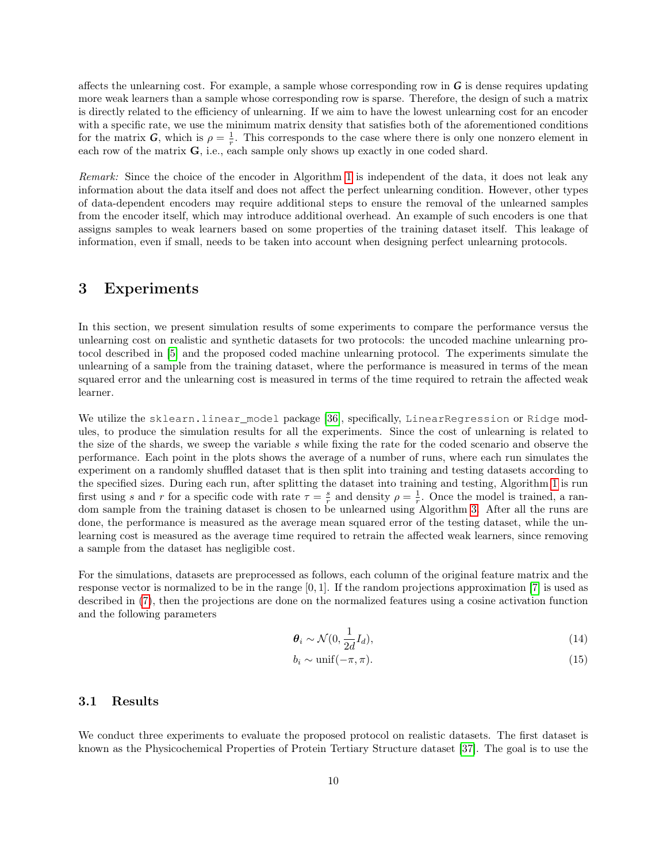affects the unlearning cost. For example, a sample whose corresponding row in *G* is dense requires updating more weak learners than a sample whose corresponding row is sparse. Therefore, the design of such a matrix is directly related to the efficiency of unlearning. If we aim to have the lowest unlearning cost for an encoder with a specific rate, we use the minimum matrix density that satisfies both of the aforementioned conditions for the matrix *G*, which is  $\rho = \frac{1}{r}$ . This corresponds to the case where there is only one nonzero element in each row of the matrix  $\bf{G}$ , i.e., each sample only shows up exactly in one coded shard.

Remark: Since the choice of the encoder in Algorithm [1](#page-6-0) is independent of the data, it does not leak any information about the data itself and does not affect the perfect unlearning condition. However, other types of data-dependent encoders may require additional steps to ensure the removal of the unlearned samples from the encoder itself, which may introduce additional overhead. An example of such encoders is one that assigns samples to weak learners based on some properties of the training dataset itself. This leakage of information, even if small, needs to be taken into account when designing perfect unlearning protocols.

# <span id="page-9-0"></span>3 Experiments

In this section, we present simulation results of some experiments to compare the performance versus the unlearning cost on realistic and synthetic datasets for two protocols: the uncoded machine unlearning protocol described in [\[5\]](#page-14-2) and the proposed coded machine unlearning protocol. The experiments simulate the unlearning of a sample from the training dataset, where the performance is measured in terms of the mean squared error and the unlearning cost is measured in terms of the time required to retrain the affected weak learner.

We utilize the sklearn.linear\_model package [\[36\]](#page-16-6), specifically, LinearRegression or Ridge modules, to produce the simulation results for all the experiments. Since the cost of unlearning is related to the size of the shards, we sweep the variable s while fixing the rate for the coded scenario and observe the performance. Each point in the plots shows the average of a number of runs, where each run simulates the experiment on a randomly shuffled dataset that is then split into training and testing datasets according to the specified sizes. During each run, after splitting the dataset into training and testing, Algorithm [1](#page-6-0) is run first using s and r for a specific code with rate  $\tau = \frac{s}{r}$  and density  $\rho = \frac{1}{r}$ . Once the model is trained, a random sample from the training dataset is chosen to be unlearned using Algorithm [3.](#page-8-0) After all the runs are done, the performance is measured as the average mean squared error of the testing dataset, while the unlearning cost is measured as the average time required to retrain the affected weak learners, since removing a sample from the dataset has negligible cost.

For the simulations, datasets are preprocessed as follows, each column of the original feature matrix and the response vector is normalized to be in the range [0, 1]. If the random projections approximation [\[7\]](#page-14-4) is used as described in [\(7\)](#page-4-1), then the projections are done on the normalized features using a cosine activation function and the following parameters

$$
\boldsymbol{\theta}_i \sim \mathcal{N}(0, \frac{1}{2d}I_d),\tag{14}
$$

$$
b_i \sim \text{unif}(-\pi, \pi). \tag{15}
$$

### <span id="page-9-1"></span>3.1 Results

We conduct three experiments to evaluate the proposed protocol on realistic datasets. The first dataset is known as the Physicochemical Properties of Protein Tertiary Structure dataset [\[37\]](#page-16-7). The goal is to use the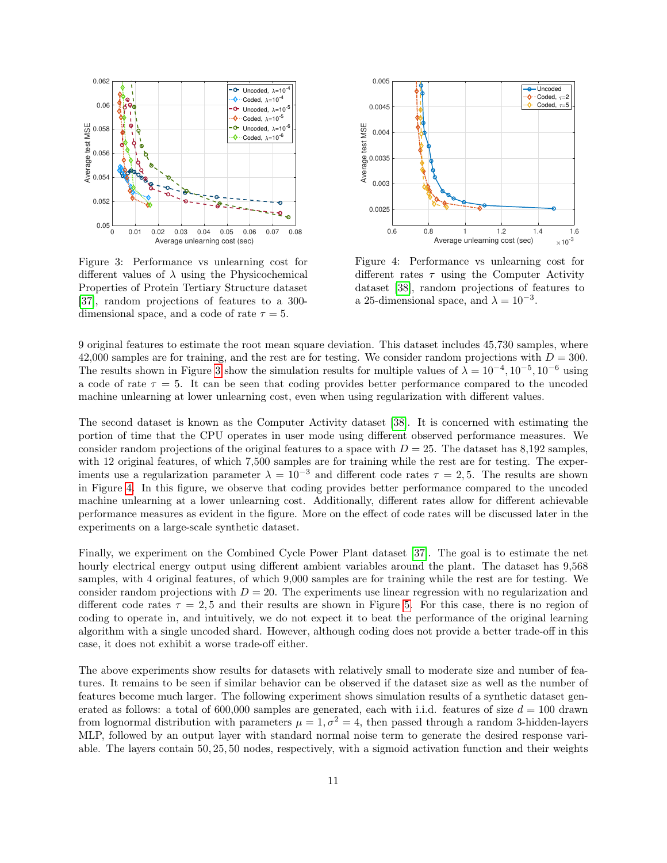<span id="page-10-0"></span>

Figure 3: Performance vs unlearning cost for different values of  $\lambda$  using the Physicochemical Properties of Protein Tertiary Structure dataset [\[37\]](#page-16-7), random projections of features to a 300 dimensional space, and a code of rate  $\tau = 5$ .



Figure 4: Performance vs unlearning cost for different rates  $\tau$  using the Computer Activity dataset [\[38\]](#page-16-8), random projections of features to a 25-dimensional space, and  $\lambda = 10^{-3}$ .

9 original features to estimate the root mean square deviation. This dataset includes 45,730 samples, where 42,000 samples are for training, and the rest are for testing. We consider random projections with  $D = 300$ . The results shown in Figure [3](#page-10-0) show the simulation results for multiple values of  $\lambda = 10^{-4}$ ,  $10^{-5}$ ,  $10^{-6}$  using a code of rate  $\tau = 5$ . It can be seen that coding provides better performance compared to the uncoded machine unlearning at lower unlearning cost, even when using regularization with different values.

The second dataset is known as the Computer Activity dataset [\[38\]](#page-16-8). It is concerned with estimating the portion of time that the CPU operates in user mode using different observed performance measures. We consider random projections of the original features to a space with  $D = 25$ . The dataset has 8,192 samples, with 12 original features, of which 7,500 samples are for training while the rest are for testing. The experiments use a regularization parameter  $\lambda = 10^{-3}$  and different code rates  $\tau = 2.5$ . The results are shown in Figure [4.](#page-10-0) In this figure, we observe that coding provides better performance compared to the uncoded machine unlearning at a lower unlearning cost. Additionally, different rates allow for different achievable performance measures as evident in the figure. More on the effect of code rates will be discussed later in the experiments on a large-scale synthetic dataset.

Finally, we experiment on the Combined Cycle Power Plant dataset [\[37\]](#page-16-7). The goal is to estimate the net hourly electrical energy output using different ambient variables around the plant. The dataset has 9,568 samples, with 4 original features, of which 9,000 samples are for training while the rest are for testing. We consider random projections with  $D = 20$ . The experiments use linear regression with no regularization and different code rates  $\tau = 2.5$  and their results are shown in Figure [5.](#page-11-0) For this case, there is no region of coding to operate in, and intuitively, we do not expect it to beat the performance of the original learning algorithm with a single uncoded shard. However, although coding does not provide a better trade-off in this case, it does not exhibit a worse trade-off either.

The above experiments show results for datasets with relatively small to moderate size and number of features. It remains to be seen if similar behavior can be observed if the dataset size as well as the number of features become much larger. The following experiment shows simulation results of a synthetic dataset generated as follows: a total of 600,000 samples are generated, each with i.i.d. features of size  $d = 100$  drawn from lognormal distribution with parameters  $\mu = 1, \sigma^2 = 4$ , then passed through a random 3-hidden-layers MLP, followed by an output layer with standard normal noise term to generate the desired response variable. The layers contain 50, 25, 50 nodes, respectively, with a sigmoid activation function and their weights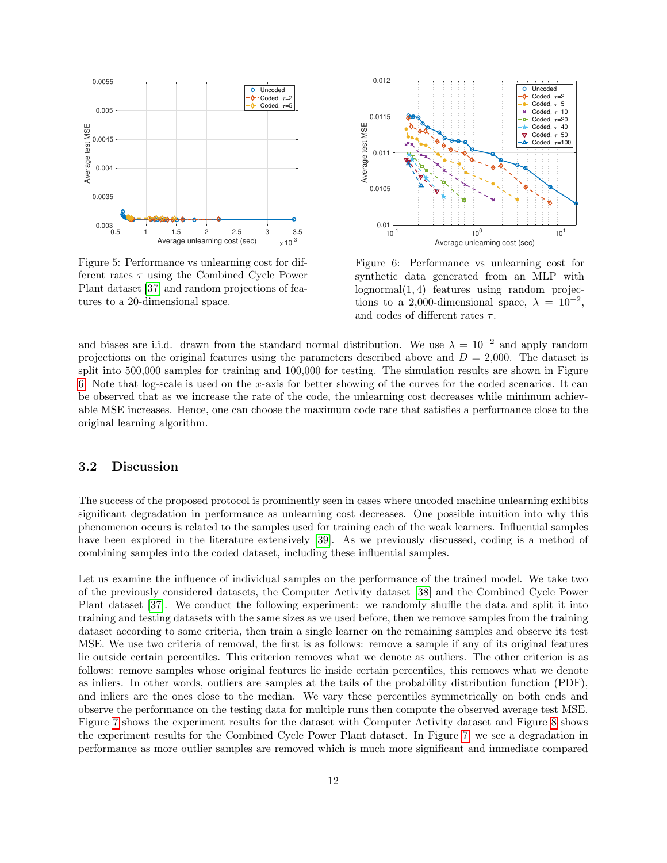<span id="page-11-0"></span>

Figure 5: Performance vs unlearning cost for different rates  $\tau$  using the Combined Cycle Power Plant dataset [\[37\]](#page-16-7) and random projections of features to a 20-dimensional space.



Figure 6: Performance vs unlearning cost for synthetic data generated from an MLP with lognormal(1, 4) features using random projections to a 2,000-dimensional space,  $\lambda = 10^{-2}$ , and codes of different rates  $\tau$ .

and biases are i.i.d. drawn from the standard normal distribution. We use  $\lambda = 10^{-2}$  and apply random projections on the original features using the parameters described above and  $D = 2,000$ . The dataset is split into 500,000 samples for training and 100,000 for testing. The simulation results are shown in Figure [6.](#page-11-0) Note that log-scale is used on the x-axis for better showing of the curves for the coded scenarios. It can be observed that as we increase the rate of the code, the unlearning cost decreases while minimum achievable MSE increases. Hence, one can choose the maximum code rate that satisfies a performance close to the original learning algorithm.

### 3.2 Discussion

The success of the proposed protocol is prominently seen in cases where uncoded machine unlearning exhibits significant degradation in performance as unlearning cost decreases. One possible intuition into why this phenomenon occurs is related to the samples used for training each of the weak learners. Influential samples have been explored in the literature extensively [\[39\]](#page-16-9). As we previously discussed, coding is a method of combining samples into the coded dataset, including these influential samples.

Let us examine the influence of individual samples on the performance of the trained model. We take two of the previously considered datasets, the Computer Activity dataset [\[38\]](#page-16-8) and the Combined Cycle Power Plant dataset [\[37\]](#page-16-7). We conduct the following experiment: we randomly shuffle the data and split it into training and testing datasets with the same sizes as we used before, then we remove samples from the training dataset according to some criteria, then train a single learner on the remaining samples and observe its test MSE. We use two criteria of removal, the first is as follows: remove a sample if any of its original features lie outside certain percentiles. This criterion removes what we denote as outliers. The other criterion is as follows: remove samples whose original features lie inside certain percentiles, this removes what we denote as inliers. In other words, outliers are samples at the tails of the probability distribution function (PDF), and inliers are the ones close to the median. We vary these percentiles symmetrically on both ends and observe the performance on the testing data for multiple runs then compute the observed average test MSE. Figure [7](#page-12-0) shows the experiment results for the dataset with Computer Activity dataset and Figure [8](#page-12-0) shows the experiment results for the Combined Cycle Power Plant dataset. In Figure [7,](#page-12-0) we see a degradation in performance as more outlier samples are removed which is much more significant and immediate compared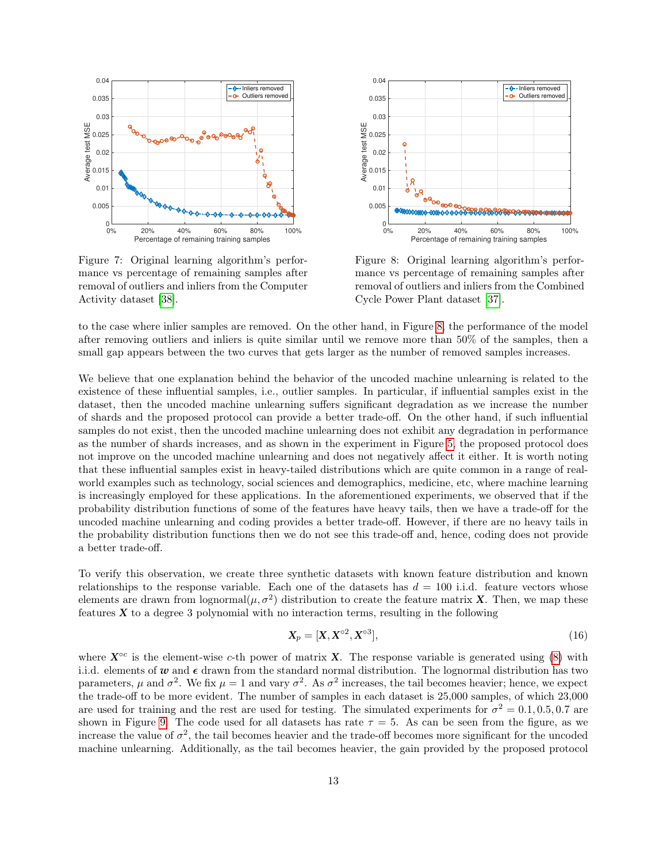<span id="page-12-0"></span>

Figure 7: Original learning algorithm's performance vs percentage of remaining samples after removal of outliers and inliers from the Computer Activity dataset [\[38\]](#page-16-8).



Figure 8: Original learning algorithm's performance vs percentage of remaining samples after removal of outliers and inliers from the Combined Cycle Power Plant dataset [\[37\]](#page-16-7).

to the case where inlier samples are removed. On the other hand, in Figure [8,](#page-12-0) the performance of the model after removing outliers and inliers is quite similar until we remove more than 50% of the samples, then a small gap appears between the two curves that gets larger as the number of removed samples increases.

We believe that one explanation behind the behavior of the uncoded machine unlearning is related to the existence of these influential samples, i.e., outlier samples. In particular, if influential samples exist in the dataset, then the uncoded machine unlearning suffers significant degradation as we increase the number of shards and the proposed protocol can provide a better trade-off. On the other hand, if such influential samples do not exist, then the uncoded machine unlearning does not exhibit any degradation in performance as the number of shards increases, and as shown in the experiment in Figure [5,](#page-11-0) the proposed protocol does not improve on the uncoded machine unlearning and does not negatively affect it either. It is worth noting that these influential samples exist in heavy-tailed distributions which are quite common in a range of realworld examples such as technology, social sciences and demographics, medicine, etc, where machine learning is increasingly employed for these applications. In the aforementioned experiments, we observed that if the probability distribution functions of some of the features have heavy tails, then we have a trade-off for the uncoded machine unlearning and coding provides a better trade-off. However, if there are no heavy tails in the probability distribution functions then we do not see this trade-off and, hence, coding does not provide a better trade-off.

To verify this observation, we create three synthetic datasets with known feature distribution and known relationships to the response variable. Each one of the datasets has  $d = 100$  i.i.d. feature vectors whose elements are drawn from  $\log \text{normal}(\mu, \sigma^2)$  distribution to create the feature matrix *X*. Then, we map these features  $X$  to a degree 3 polynomial with no interaction terms, resulting in the following

$$
\mathbf{X}_p = [\mathbf{X}, \mathbf{X}^{\circ 2}, \mathbf{X}^{\circ 3}],\tag{16}
$$

where  $X^{\circ c}$  is the element-wise c-th power of matrix X. The response variable is generated using [\(8\)](#page-4-2) with i.i.d. elements of  $w$  and  $\epsilon$  drawn from the standard normal distribution. The lognormal distribution has two parameters,  $\mu$  and  $\sigma^2$ . We fix  $\mu = 1$  and vary  $\sigma^2$ . As  $\sigma^2$  increases, the tail becomes heavier; hence, we expect the trade-off to be more evident. The number of samples in each dataset is 25,000 samples, of which 23,000 are used for training and the rest are used for testing. The simulated experiments for  $\sigma^2 = 0.1, 0.5, 0.7$  are shown in Figure [9.](#page-13-1) The code used for all datasets has rate  $\tau = 5$ . As can be seen from the figure, as we increase the value of  $\sigma^2$ , the tail becomes heavier and the trade-off becomes more significant for the uncoded machine unlearning. Additionally, as the tail becomes heavier, the gain provided by the proposed protocol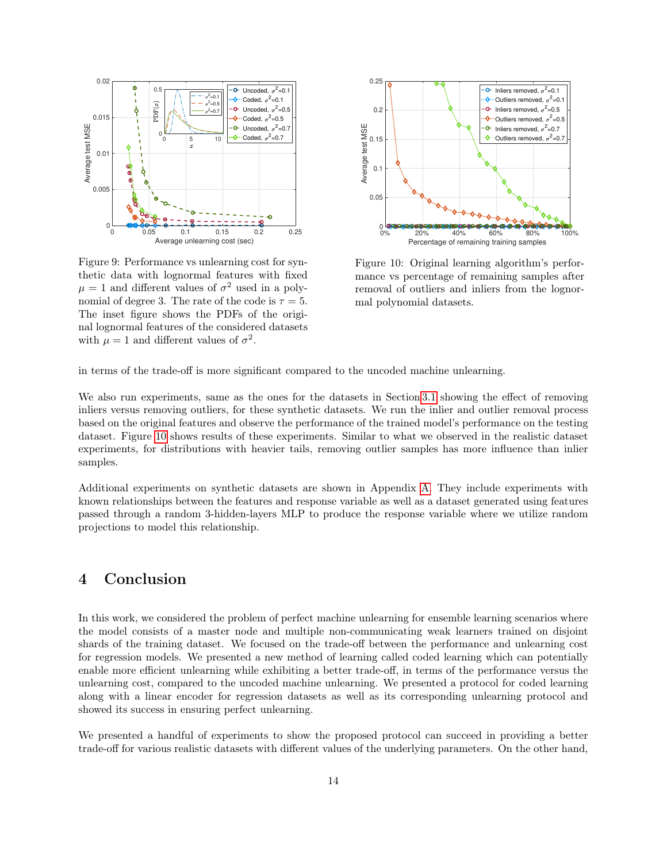<span id="page-13-1"></span>

Figure 9: Performance vs unlearning cost for synthetic data with lognormal features with fixed  $\mu = 1$  and different values of  $\sigma^2$  used in a polynomial of degree 3. The rate of the code is  $\tau = 5$ . The inset figure shows the PDFs of the original lognormal features of the considered datasets with  $\mu = 1$  and different values of  $\sigma^2$ .



Figure 10: Original learning algorithm's performance vs percentage of remaining samples after removal of outliers and inliers from the lognormal polynomial datasets.

in terms of the trade-off is more significant compared to the uncoded machine unlearning.

We also run experiments, same as the ones for the datasets in Section [3.1](#page-9-1) showing the effect of removing inliers versus removing outliers, for these synthetic datasets. We run the inlier and outlier removal process based on the original features and observe the performance of the trained model's performance on the testing dataset. Figure [10](#page-13-1) shows results of these experiments. Similar to what we observed in the realistic dataset experiments, for distributions with heavier tails, removing outlier samples has more influence than inlier samples.

Additional experiments on synthetic datasets are shown in Appendix [A.](#page-17-0) They include experiments with known relationships between the features and response variable as well as a dataset generated using features passed through a random 3-hidden-layers MLP to produce the response variable where we utilize random projections to model this relationship.

# <span id="page-13-0"></span>4 Conclusion

In this work, we considered the problem of perfect machine unlearning for ensemble learning scenarios where the model consists of a master node and multiple non-communicating weak learners trained on disjoint shards of the training dataset. We focused on the trade-off between the performance and unlearning cost for regression models. We presented a new method of learning called coded learning which can potentially enable more efficient unlearning while exhibiting a better trade-off, in terms of the performance versus the unlearning cost, compared to the uncoded machine unlearning. We presented a protocol for coded learning along with a linear encoder for regression datasets as well as its corresponding unlearning protocol and showed its success in ensuring perfect unlearning.

We presented a handful of experiments to show the proposed protocol can succeed in providing a better trade-off for various realistic datasets with different values of the underlying parameters. On the other hand,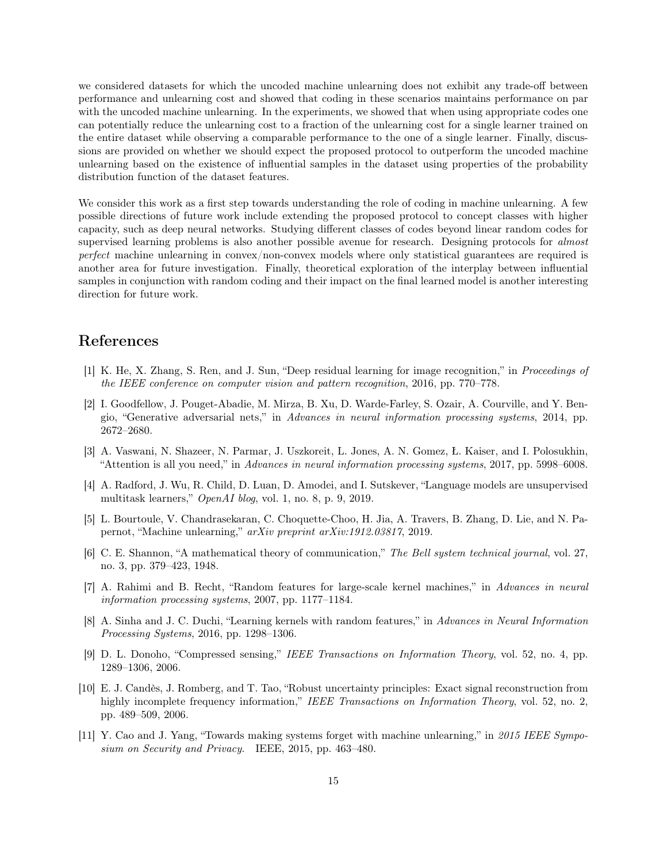we considered datasets for which the uncoded machine unlearning does not exhibit any trade-off between performance and unlearning cost and showed that coding in these scenarios maintains performance on par with the uncoded machine unlearning. In the experiments, we showed that when using appropriate codes one can potentially reduce the unlearning cost to a fraction of the unlearning cost for a single learner trained on the entire dataset while observing a comparable performance to the one of a single learner. Finally, discussions are provided on whether we should expect the proposed protocol to outperform the uncoded machine unlearning based on the existence of influential samples in the dataset using properties of the probability distribution function of the dataset features.

We consider this work as a first step towards understanding the role of coding in machine unlearning. A few possible directions of future work include extending the proposed protocol to concept classes with higher capacity, such as deep neural networks. Studying different classes of codes beyond linear random codes for supervised learning problems is also another possible avenue for research. Designing protocols for almost perfect machine unlearning in convex/non-convex models where only statistical guarantees are required is another area for future investigation. Finally, theoretical exploration of the interplay between influential samples in conjunction with random coding and their impact on the final learned model is another interesting direction for future work.

# References

- <span id="page-14-0"></span>[1] K. He, X. Zhang, S. Ren, and J. Sun, "Deep residual learning for image recognition," in Proceedings of the IEEE conference on computer vision and pattern recognition, 2016, pp. 770–778.
- [2] I. Goodfellow, J. Pouget-Abadie, M. Mirza, B. Xu, D. Warde-Farley, S. Ozair, A. Courville, and Y. Bengio, "Generative adversarial nets," in Advances in neural information processing systems, 2014, pp. 2672–2680.
- [3] A. Vaswani, N. Shazeer, N. Parmar, J. Uszkoreit, L. Jones, A. N. Gomez, Ł. Kaiser, and I. Polosukhin, "Attention is all you need," in Advances in neural information processing systems, 2017, pp. 5998–6008.
- <span id="page-14-1"></span>[4] A. Radford, J. Wu, R. Child, D. Luan, D. Amodei, and I. Sutskever, "Language models are unsupervised multitask learners," OpenAI blog, vol. 1, no. 8, p. 9, 2019.
- <span id="page-14-2"></span>[5] L. Bourtoule, V. Chandrasekaran, C. Choquette-Choo, H. Jia, A. Travers, B. Zhang, D. Lie, and N. Papernot, "Machine unlearning," arXiv preprint arXiv:1912.03817, 2019.
- <span id="page-14-3"></span>[6] C. E. Shannon, "A mathematical theory of communication," The Bell system technical journal, vol. 27, no. 3, pp. 379–423, 1948.
- <span id="page-14-4"></span>[7] A. Rahimi and B. Recht, "Random features for large-scale kernel machines," in Advances in neural information processing systems, 2007, pp. 1177–1184.
- <span id="page-14-5"></span>[8] A. Sinha and J. C. Duchi, "Learning kernels with random features," in Advances in Neural Information Processing Systems, 2016, pp. 1298–1306.
- <span id="page-14-6"></span>[9] D. L. Donoho, "Compressed sensing," IEEE Transactions on Information Theory, vol. 52, no. 4, pp. 1289–1306, 2006.
- <span id="page-14-7"></span>[10] E. J. Candès, J. Romberg, and T. Tao, "Robust uncertainty principles: Exact signal reconstruction from highly incomplete frequency information," IEEE Transactions on Information Theory, vol. 52, no. 2, pp. 489–509, 2006.
- <span id="page-14-8"></span>[11] Y. Cao and J. Yang, "Towards making systems forget with machine unlearning," in 2015 IEEE Symposium on Security and Privacy. IEEE, 2015, pp. 463–480.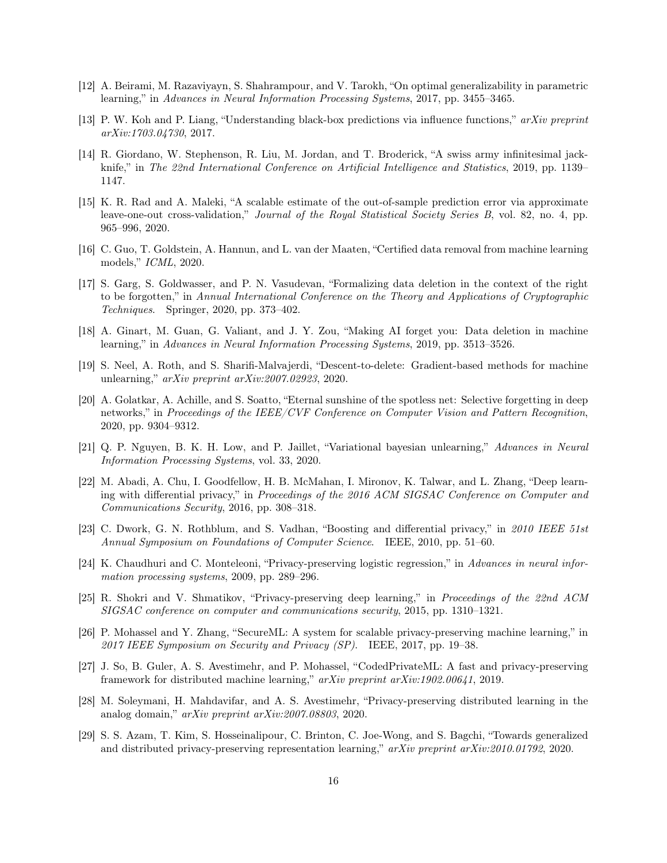- <span id="page-15-0"></span>[12] A. Beirami, M. Razaviyayn, S. Shahrampour, and V. Tarokh, "On optimal generalizability in parametric learning," in Advances in Neural Information Processing Systems, 2017, pp. 3455–3465.
- [13] P. W. Koh and P. Liang, "Understanding black-box predictions via influence functions," arXiv preprint arXiv:1703.04730, 2017.
- [14] R. Giordano, W. Stephenson, R. Liu, M. Jordan, and T. Broderick, "A swiss army infinitesimal jackknife," in The 22nd International Conference on Artificial Intelligence and Statistics, 2019, pp. 1139– 1147.
- <span id="page-15-1"></span>[15] K. R. Rad and A. Maleki, "A scalable estimate of the out-of-sample prediction error via approximate leave-one-out cross-validation," Journal of the Royal Statistical Society Series B, vol. 82, no. 4, pp. 965–996, 2020.
- <span id="page-15-2"></span>[16] C. Guo, T. Goldstein, A. Hannun, and L. van der Maaten, "Certified data removal from machine learning models," ICML, 2020.
- <span id="page-15-3"></span>[17] S. Garg, S. Goldwasser, and P. N. Vasudevan, "Formalizing data deletion in the context of the right to be forgotten," in Annual International Conference on the Theory and Applications of Cryptographic Techniques. Springer, 2020, pp. 373–402.
- <span id="page-15-4"></span>[18] A. Ginart, M. Guan, G. Valiant, and J. Y. Zou, "Making AI forget you: Data deletion in machine learning," in Advances in Neural Information Processing Systems, 2019, pp. 3513–3526.
- [19] S. Neel, A. Roth, and S. Sharifi-Malvajerdi, "Descent-to-delete: Gradient-based methods for machine unlearning," arXiv preprint arXiv:2007.02923, 2020.
- [20] A. Golatkar, A. Achille, and S. Soatto, "Eternal sunshine of the spotless net: Selective forgetting in deep networks," in Proceedings of the IEEE/CVF Conference on Computer Vision and Pattern Recognition, 2020, pp. 9304–9312.
- <span id="page-15-5"></span>[21] Q. P. Nguyen, B. K. H. Low, and P. Jaillet, "Variational bayesian unlearning," Advances in Neural Information Processing Systems, vol. 33, 2020.
- <span id="page-15-6"></span>[22] M. Abadi, A. Chu, I. Goodfellow, H. B. McMahan, I. Mironov, K. Talwar, and L. Zhang, "Deep learning with differential privacy," in Proceedings of the 2016 ACM SIGSAC Conference on Computer and Communications Security, 2016, pp. 308–318.
- [23] C. Dwork, G. N. Rothblum, and S. Vadhan, "Boosting and differential privacy," in 2010 IEEE 51st Annual Symposium on Foundations of Computer Science. IEEE, 2010, pp. 51–60.
- <span id="page-15-7"></span>[24] K. Chaudhuri and C. Monteleoni, "Privacy-preserving logistic regression," in Advances in neural information processing systems, 2009, pp. 289–296.
- <span id="page-15-8"></span>[25] R. Shokri and V. Shmatikov, "Privacy-preserving deep learning," in Proceedings of the 22nd ACM SIGSAC conference on computer and communications security, 2015, pp. 1310–1321.
- [26] P. Mohassel and Y. Zhang, "SecureML: A system for scalable privacy-preserving machine learning," in 2017 IEEE Symposium on Security and Privacy (SP). IEEE, 2017, pp. 19–38.
- [27] J. So, B. Guler, A. S. Avestimehr, and P. Mohassel, "CodedPrivateML: A fast and privacy-preserving framework for distributed machine learning," arXiv preprint arXiv:1902.00641, 2019.
- [28] M. Soleymani, H. Mahdavifar, and A. S. Avestimehr, "Privacy-preserving distributed learning in the analog domain," arXiv preprint arXiv:2007.08803, 2020.
- [29] S. S. Azam, T. Kim, S. Hosseinalipour, C. Brinton, C. Joe-Wong, and S. Bagchi, "Towards generalized and distributed privacy-preserving representation learning," arXiv preprint arXiv:2010.01792, 2020.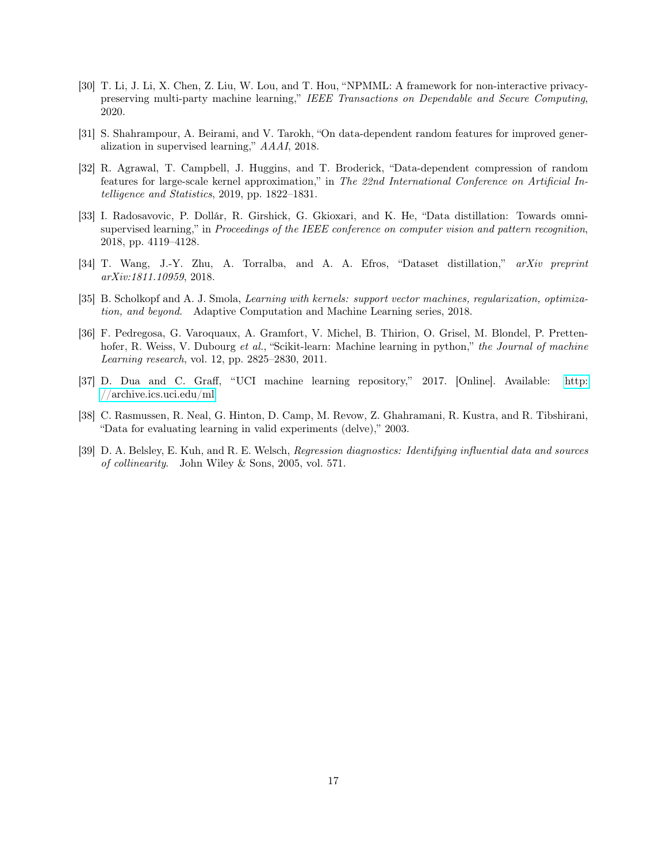- <span id="page-16-0"></span>[30] T. Li, J. Li, X. Chen, Z. Liu, W. Lou, and T. Hou, "NPMML: A framework for non-interactive privacypreserving multi-party machine learning," IEEE Transactions on Dependable and Secure Computing, 2020.
- <span id="page-16-1"></span>[31] S. Shahrampour, A. Beirami, and V. Tarokh, "On data-dependent random features for improved generalization in supervised learning," AAAI, 2018.
- <span id="page-16-2"></span>[32] R. Agrawal, T. Campbell, J. Huggins, and T. Broderick, "Data-dependent compression of random features for large-scale kernel approximation," in The 22nd International Conference on Artificial Intelligence and Statistics, 2019, pp. 1822–1831.
- <span id="page-16-3"></span>[33] I. Radosavovic, P. Dollár, R. Girshick, G. Gkioxari, and K. He, "Data distillation: Towards omnisupervised learning," in *Proceedings of the IEEE conference on computer vision and pattern recognition*, 2018, pp. 4119–4128.
- <span id="page-16-4"></span>[34] T. Wang, J.-Y. Zhu, A. Torralba, and A. A. Efros, "Dataset distillation," arXiv preprint arXiv:1811.10959, 2018.
- <span id="page-16-5"></span>[35] B. Scholkopf and A. J. Smola, Learning with kernels: support vector machines, regularization, optimization, and beyond. Adaptive Computation and Machine Learning series, 2018.
- <span id="page-16-6"></span>[36] F. Pedregosa, G. Varoquaux, A. Gramfort, V. Michel, B. Thirion, O. Grisel, M. Blondel, P. Prettenhofer, R. Weiss, V. Dubourg et al., "Scikit-learn: Machine learning in python," the Journal of machine Learning research, vol. 12, pp. 2825–2830, 2011.
- <span id="page-16-7"></span>[37] D. Dua and C. Graff, "UCI machine learning repository," 2017. [Online]. Available: [http:](http://archive.ics.uci.edu/ml) [//archive.ics.uci.edu/ml](http://archive.ics.uci.edu/ml)
- <span id="page-16-8"></span>[38] C. Rasmussen, R. Neal, G. Hinton, D. Camp, M. Revow, Z. Ghahramani, R. Kustra, and R. Tibshirani, "Data for evaluating learning in valid experiments (delve)," 2003.
- <span id="page-16-9"></span>[39] D. A. Belsley, E. Kuh, and R. E. Welsch, Regression diagnostics: Identifying influential data and sources of collinearity. John Wiley & Sons, 2005, vol. 571.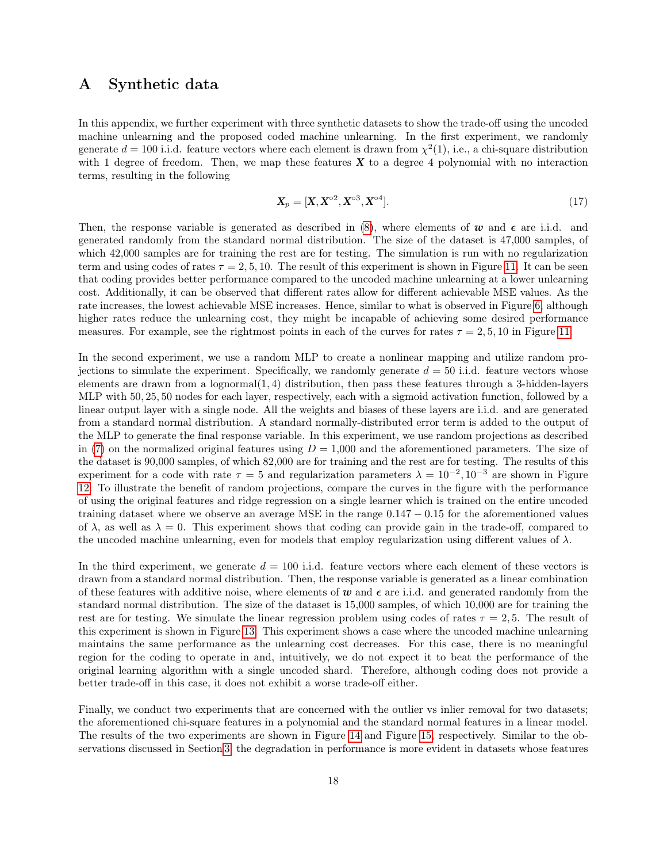# <span id="page-17-0"></span>A Synthetic data

In this appendix, we further experiment with three synthetic datasets to show the trade-off using the uncoded machine unlearning and the proposed coded machine unlearning. In the first experiment, we randomly generate  $d = 100$  i.i.d. feature vectors where each element is drawn from  $\chi^2(1)$ , i.e., a chi-square distribution with 1 degree of freedom. Then, we map these features **X** to a degree 4 polynomial with no interaction terms, resulting in the following

$$
\mathbf{X}_p = [\mathbf{X}, \mathbf{X}^{\circ 2}, \mathbf{X}^{\circ 3}, \mathbf{X}^{\circ 4}]. \tag{17}
$$

Then, the response variable is generated as described in  $(8)$ , where elements of *w* and  $\epsilon$  are i.i.d. and generated randomly from the standard normal distribution. The size of the dataset is 47,000 samples, of which 42,000 samples are for training the rest are for testing. The simulation is run with no regularization term and using codes of rates  $\tau = 2, 5, 10$ . The result of this experiment is shown in Figure [11.](#page-18-0) It can be seen that coding provides better performance compared to the uncoded machine unlearning at a lower unlearning cost. Additionally, it can be observed that different rates allow for different achievable MSE values. As the rate increases, the lowest achievable MSE increases. Hence, similar to what is observed in Figure [6,](#page-11-0) although higher rates reduce the unlearning cost, they might be incapable of achieving some desired performance measures. For example, see the rightmost points in each of the curves for rates  $\tau = 2, 5, 10$  in Figure [11.](#page-18-0)

In the second experiment, we use a random MLP to create a nonlinear mapping and utilize random projections to simulate the experiment. Specifically, we randomly generate  $d = 50$  i.i.d. feature vectors whose elements are drawn from a lognormal $(1, 4)$  distribution, then pass these features through a 3-hidden-layers MLP with 50, 25, 50 nodes for each layer, respectively, each with a sigmoid activation function, followed by a linear output layer with a single node. All the weights and biases of these layers are i.i.d. and are generated from a standard normal distribution. A standard normally-distributed error term is added to the output of the MLP to generate the final response variable. In this experiment, we use random projections as described in [\(7\)](#page-4-1) on the normalized original features using  $D = 1,000$  and the aforementioned parameters. The size of the dataset is 90,000 samples, of which 82,000 are for training and the rest are for testing. The results of this experiment for a code with rate  $\tau = 5$  and regularization parameters  $\lambda = 10^{-2}$ ,  $10^{-3}$  are shown in Figure [12.](#page-18-0) To illustrate the benefit of random projections, compare the curves in the figure with the performance of using the original features and ridge regression on a single learner which is trained on the entire uncoded training dataset where we observe an average MSE in the range 0.147 − 0.15 for the aforementioned values of  $\lambda$ , as well as  $\lambda = 0$ . This experiment shows that coding can provide gain in the trade-off, compared to the uncoded machine unlearning, even for models that employ regularization using different values of  $\lambda$ .

In the third experiment, we generate  $d = 100$  i.i.d. feature vectors where each element of these vectors is drawn from a standard normal distribution. Then, the response variable is generated as a linear combination of these features with additive noise, where elements of  $w$  and  $\epsilon$  are i.i.d. and generated randomly from the standard normal distribution. The size of the dataset is 15,000 samples, of which 10,000 are for training the rest are for testing. We simulate the linear regression problem using codes of rates  $\tau = 2, 5$ . The result of this experiment is shown in Figure [13.](#page-19-0) This experiment shows a case where the uncoded machine unlearning maintains the same performance as the unlearning cost decreases. For this case, there is no meaningful region for the coding to operate in and, intuitively, we do not expect it to beat the performance of the original learning algorithm with a single uncoded shard. Therefore, although coding does not provide a better trade-off in this case, it does not exhibit a worse trade-off either.

Finally, we conduct two experiments that are concerned with the outlier vs inlier removal for two datasets; the aforementioned chi-square features in a polynomial and the standard normal features in a linear model. The results of the two experiments are shown in Figure [14](#page-19-1) and Figure [15,](#page-19-1) respectively. Similar to the observations discussed in Section [3,](#page-9-0) the degradation in performance is more evident in datasets whose features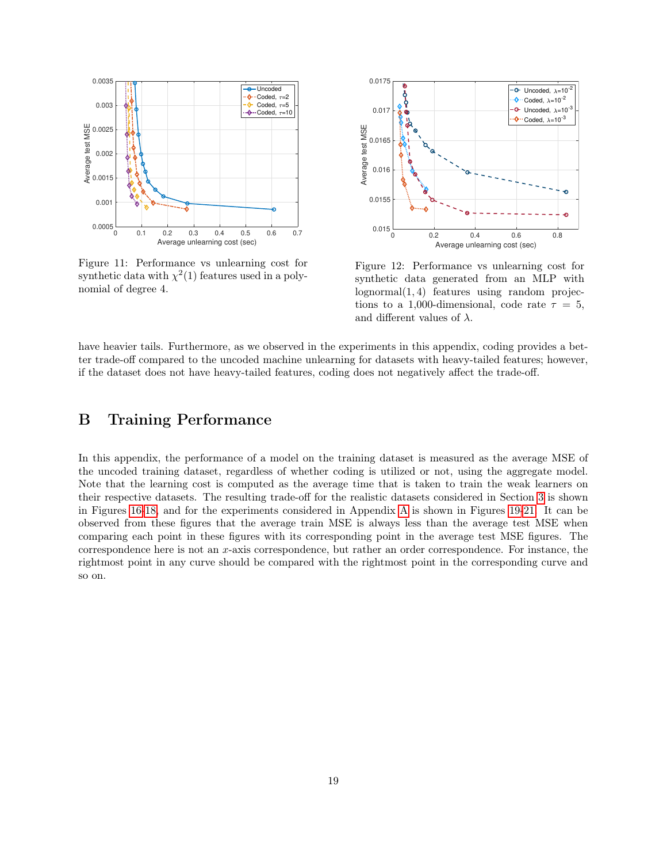<span id="page-18-0"></span>

Figure 11: Performance vs unlearning cost for synthetic data with  $\chi^2(1)$  features used in a polynomial of degree 4.



Figure 12: Performance vs unlearning cost for synthetic data generated from an MLP with lognormal(1, 4) features using random projections to a 1,000-dimensional, code rate  $\tau = 5$ , and different values of  $\lambda$ .

have heavier tails. Furthermore, as we observed in the experiments in this appendix, coding provides a better trade-off compared to the uncoded machine unlearning for datasets with heavy-tailed features; however, if the dataset does not have heavy-tailed features, coding does not negatively affect the trade-off.

# B Training Performance

In this appendix, the performance of a model on the training dataset is measured as the average MSE of the uncoded training dataset, regardless of whether coding is utilized or not, using the aggregate model. Note that the learning cost is computed as the average time that is taken to train the weak learners on their respective datasets. The resulting trade-off for the realistic datasets considered in Section [3](#page-9-0) is shown in Figures [16](#page-20-0)[-18,](#page-20-1) and for the experiments considered in Appendix [A](#page-17-0) is shown in Figures [19-](#page-20-1)[21.](#page-21-0) It can be observed from these figures that the average train MSE is always less than the average test MSE when comparing each point in these figures with its corresponding point in the average test MSE figures. The correspondence here is not an x-axis correspondence, but rather an order correspondence. For instance, the rightmost point in any curve should be compared with the rightmost point in the corresponding curve and so on.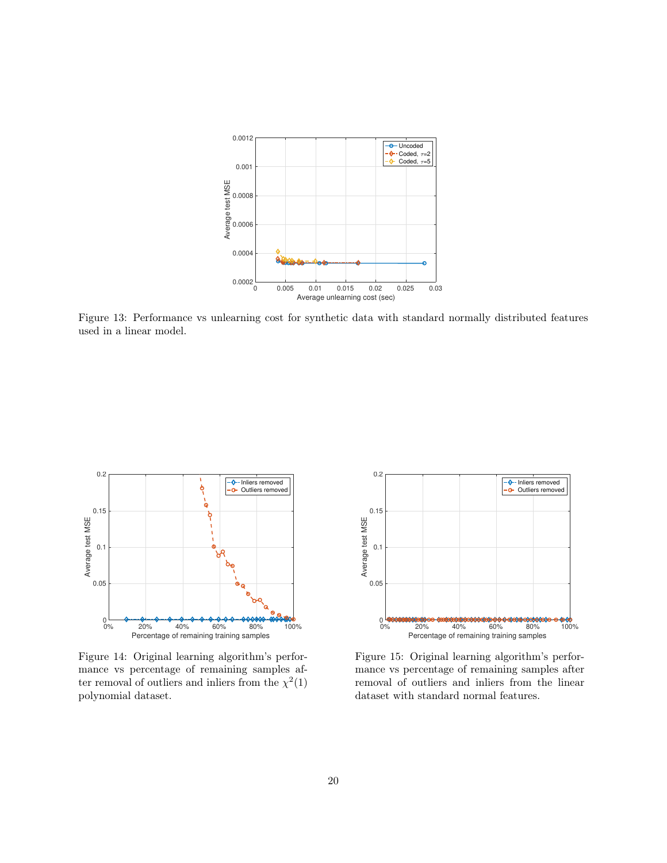<span id="page-19-0"></span>

Figure 13: Performance vs unlearning cost for synthetic data with standard normally distributed features used in a linear model.

<span id="page-19-1"></span>

Figure 14: Original learning algorithm's performance vs percentage of remaining samples after removal of outliers and inliers from the  $\chi^2(1)$ polynomial dataset.



Figure 15: Original learning algorithm's performance vs percentage of remaining samples after removal of outliers and inliers from the linear dataset with standard normal features.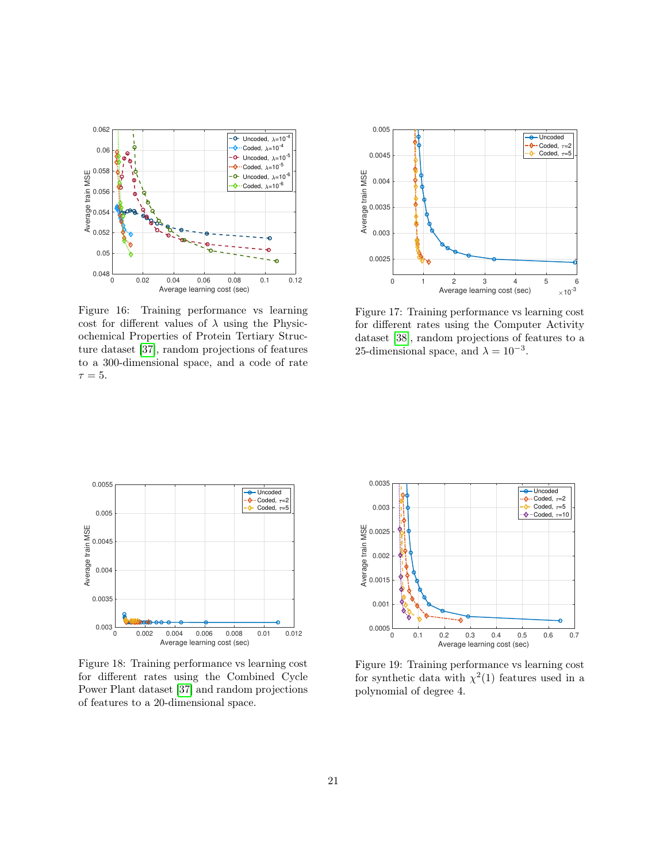<span id="page-20-0"></span>

Figure 16: Training performance vs learning cost for different values of  $\lambda$  using the Physicochemical Properties of Protein Tertiary Structure dataset [\[37\]](#page-16-7), random projections of features to a 300-dimensional space, and a code of rate  $\tau = 5$ .



Figure 17: Training performance vs learning cost for different rates using the Computer Activity dataset [\[38\]](#page-16-8), random projections of features to a 25-dimensional space, and  $\lambda = 10^{-3}$ .

<span id="page-20-1"></span>

Figure 18: Training performance vs learning cost for different rates using the Combined Cycle Power Plant dataset [\[37\]](#page-16-7) and random projections of features to a 20-dimensional space.



Figure 19: Training performance vs learning cost for synthetic data with  $\chi^2(1)$  features used in a polynomial of degree 4.